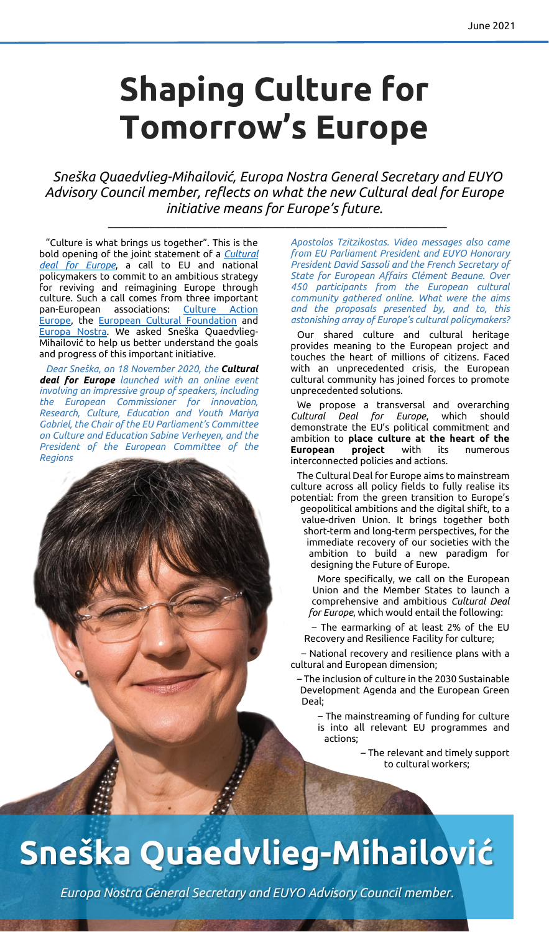## **Shaping Culture for Tomorrow's Europe**

*Sneška Quaedvlieg-Mihailović, Europa Nostra General Secretary and EUYO Advisory Council member, reflects on what the new Cultural deal for Europe initiative means for Europe's future.*

\_\_\_\_\_\_\_\_\_\_\_\_\_\_\_\_\_\_\_\_\_\_\_\_\_\_\_\_\_\_\_\_\_\_\_\_\_\_\_\_\_\_\_\_\_\_\_\_\_\_\_\_\_\_\_\_\_\_\_\_\_\_\_\_\_

"Culture is what brings us together". This is the bold opening of the joint statement of a *[Cultural](https://cultureactioneurope.org/news/a-cultural-deal-for-europe/#:~:text=A%20Cultural%20Deal%20for%20Europe%20is%20a%20call%20from%20a,the%20future%20of%20our%20lives.&text=The%20Cultural%20Deal%20for%20Europe,with%20more%20than%20500%20attendees.)  [deal for](https://cultureactioneurope.org/news/a-cultural-deal-for-europe/#:~:text=A%20Cultural%20Deal%20for%20Europe%20is%20a%20call%20from%20a,the%20future%20of%20our%20lives.&text=The%20Cultural%20Deal%20for%20Europe,with%20more%20than%20500%20attendees.) Europe*, a call to EU and national policymakers to commit to an ambitious strategy for reviving and reimagining Europe through culture. Such a call comes from three important pan-European associations: [Culture Action](https://cultureactioneurope.org/news/a-cultural-deal-for-europe/)  [Europe,](https://cultureactioneurope.org/news/a-cultural-deal-for-europe/) the [European Cultural Foundation](https://culturalfoundation.eu/) and [Europa Nostra.](https://www.europanostra.org/) We asked Sneška Quaedvlieg-Mihailović to help us better understand the goals and progress of this important initiative.

*Dear Sneška, on 18 November 2020, the Cultural deal for Europe launched with an online event involving an impressive group of speakers, including the European Commissioner for innovation, Research, Culture, Education and Youth Mariya Gabriel, the Chair of the EU Parliament's Committee on Culture and Education Sabine Verheyen, and the President of the European Committee of the Regions* 

*Apostolos Tzitzikostas. Video messages also came from EU Parliament President and EUYO Honorary President David Sassoli and the French Secretary of State for European Affairs Clément Beaune. Over 450 participants from the European cultural community gathered online. What were the aims and the proposals presented by, and to, this astonishing array of Europe's cultural policymakers?*

Our shared culture and cultural heritage provides meaning to the European project and touches the heart of millions of citizens. Faced with an unprecedented crisis, the European cultural community has joined forces to promote unprecedented solutions.

We propose a transversal and overarching *Cultural Deal for Europe*, which should demonstrate the EU's political commitment and ambition to **place culture at the heart of the European project** with its numerous interconnected policies and actions.

The Cultural Deal for Europe aims to mainstream culture across all policy fields to fully realise its potential: from the green transition to Europe's geopolitical ambitions and the digital shift, to a value-driven Union. It brings together both short-term and long-term perspectives, for the immediate recovery of our societies with the ambition to build a new paradigm for designing the Future of Europe.

More specifically, we call on the European Union and the Member States to launch a comprehensive and ambitious *Cultural Deal for Europe*, which would entail the following:

– The earmarking of at least 2% of the EU Recovery and Resilience Facility for culture;

– National recovery and resilience plans with a cultural and European dimension;

– The inclusion of culture in the 2030 Sustainable Development Agenda and the European Green Deal;

– The mainstreaming of funding for culture is into all relevant EU programmes and actions;

> – The relevant and timely support to cultural workers;

## **Sneška Quaedvlieg-Mihailović**

*Europa Nostra General Secretary and EUYO Advisory Council member.*